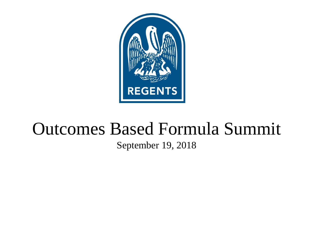

# Outcomes Based Formula Summit

#### September 19, 2018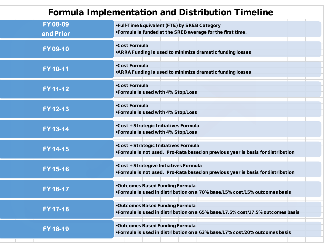#### Formula Implementation and Distribution Timeline

| FY 08-09<br>and Prior | •Full-Time Equivalent (FTE) by SREB Category<br>•Formula is funded at the SREB average for the first time.                |
|-----------------------|---------------------------------------------------------------------------------------------------------------------------|
| FY 09-10              | <b>.Cost Formula</b><br>.ARRA Funding is used to minimize dramatic funding losses                                         |
| FY 10-11              | <b>.Cost Formula</b><br>.ARRA Funding is used to minimize dramatic funding losses                                         |
| FY 11-12              | <b>.Cost Formula</b><br>•Formula is used with 4% Stop/Loss                                                                |
| FY 12-13              | <b>.Cost Formula</b><br>•Formula is used with 4% Stop/Loss                                                                |
| FY 13-14              | .Cost + Strategic Initiatives Formula<br>•Formula is used with 4% Stop/Loss                                               |
| FY 14-15              | .Cost + Strategic Initiatives Formula<br>•Formula is not used. Pro-Rata based on previous year is basis for distribution  |
| FY 15-16              | .Cost + Strategive Initiatives Formula<br>•Formula is not used. Pro-Rata based on previous year is basis for distribution |
| FY 16-17              | <b>.Outcomes Based Funding Formula</b><br>•Formula is used in distribution on a 70% base/15% cost/15% outcomes basis      |
| FY 17-18              | <b>.Outcomes Based Funding Formula</b><br>•Formula is used in distribution on a 65% base/17.5% cost/17.5% outcomes basis  |
| FY 18-19              | <b>.Outcomes Based Funding Formula</b><br>•Formula is used in distribution on a 63% base/17% cost/20% outcomes basis      |
|                       |                                                                                                                           |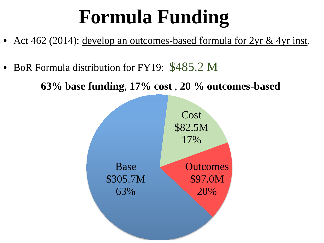# **Formula Funding**

- Act 462 (2014): develop an outcomes-based formula for 2yr & 4yr inst.
- BoR Formula distribution for FY19: \$485.2 M

**63% base funding**, **17% cost** , **20 % outcomes-based**

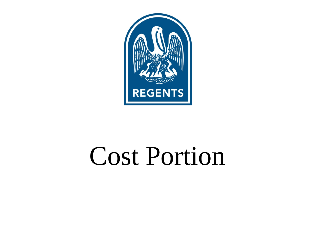

# Cost Portion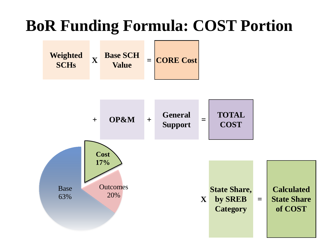## **BoR Funding Formula: COST Portion**



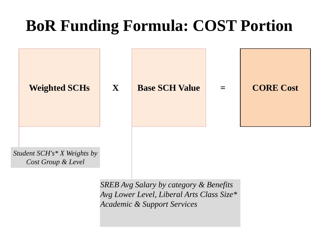## **BoR Funding Formula: COST Portion**



*SREB Avg Salary by category & Benefits Avg Lower Level, Liberal Arts Class Size\* Academic & Support Services*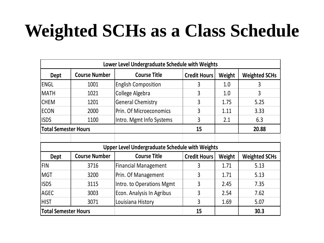# **Weighted SCHs as a Class Schedule**

|                             |                      | Lower Level Undergraduate Schedule with Weights        |                     |        |                      |
|-----------------------------|----------------------|--------------------------------------------------------|---------------------|--------|----------------------|
| <b>Dept</b>                 | <b>Course Number</b> | <b>Course Title</b>                                    | <b>Credit Hours</b> | Weight | <b>Weighted SCHs</b> |
| <b>ENGL</b>                 | 1001                 | <b>English Composition</b>                             | 3                   | 1.0    | 3                    |
| <b>MATH</b>                 | 1021                 | College Algebra                                        | 3                   | 1.0    | 3                    |
| <b>CHEM</b>                 | 1201                 | <b>General Chemistry</b>                               | 3                   | 1.75   | 5.25                 |
| ECON                        | 2000                 | Prin. Of Microeconomics                                | 3                   | 1.11   | 3.33                 |
| <b>ISDS</b>                 | 1100                 | Intro. Mgmt Info Systems                               | 3                   | 2.1    | 6.3                  |
| <b>Total Semester Hours</b> |                      |                                                        | 15                  |        | 20.88                |
|                             |                      |                                                        |                     |        |                      |
|                             |                      | <b>Upper Level Undergraduate Schedule with Weights</b> |                     |        |                      |
| <b>Dept</b>                 | <b>Course Number</b> | <b>Course Title</b>                                    | <b>Credit Hours</b> | Weight | <b>Weighted SCHs</b> |
| FIN                         | 3716                 | <b>Financial Management</b>                            | 3                   | 1.71   | 5.13                 |
| <b>MGT</b>                  | 3200                 | Prin. Of Management                                    | 3                   | 1.71   | 5.13                 |
| <b>ISDS</b>                 | 3115                 | Intro. to Operations Mgmt                              | 3                   | 2.45   | 7.35                 |
| <b>AGEC</b>                 | 3003                 | Econ. Analysis In Agribus                              | 3                   | 2.54   | 7.62                 |
| <b>HIST</b>                 | 3071                 | Louisiana History                                      | 3                   | 1.69   | 5.07                 |
| <b>Total Semester Hours</b> |                      |                                                        | 15                  |        | 30.3                 |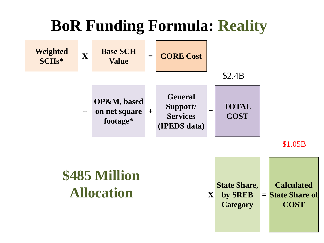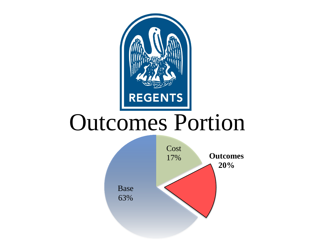

# Outcomes Portion

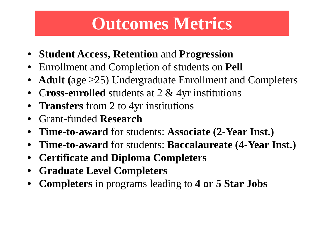# **Outcomes Metrics**

- **Student Access, Retention** and **Progression**
- Enrollment and Completion of students on **Pell**
- Adult ( $age \geq 25$ ) Undergraduate Enrollment and Completers
- C**ross-enrolled** students at 2 & 4yr institutions
- **Transfers** from 2 to 4yr institutions
- Grant-funded **Research**
- **Time-to-award** for students: **Associate (2-Year Inst.)**
- **Time-to-award** for students: **Baccalaureate (4-Year Inst.)**
- **Certificate and Diploma Completers**
- **Graduate Level Completers**
- **Completers** in programs leading to **4 or 5 Star Jobs**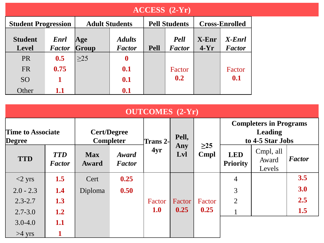|                                | $\angle$ ACCESS (2-Yr)       |                       |                                |                      |                              |                   |                         |  |  |  |  |  |  |
|--------------------------------|------------------------------|-----------------------|--------------------------------|----------------------|------------------------------|-------------------|-------------------------|--|--|--|--|--|--|
| <b>Student Progression</b>     |                              | <b>Adult Students</b> |                                | <b>Pell Students</b> | <b>Cross-Enrolled</b>        |                   |                         |  |  |  |  |  |  |
| <b>Student</b><br><b>Level</b> | <b>Enrl</b><br><b>Factor</b> | Age<br>Group          | <b>Adults</b><br><b>Factor</b> | <b>Pell</b>          | <b>Pell</b><br><b>Factor</b> | $X-Enr$<br>$4-Yr$ | X-Enrl<br><b>Factor</b> |  |  |  |  |  |  |
| <b>PR</b>                      | 0.5                          | $>25$                 | $\boldsymbol{0}$               |                      |                              |                   |                         |  |  |  |  |  |  |
| <b>FR</b>                      | 0.75                         |                       | 0.1                            |                      | Factor                       |                   | Factor                  |  |  |  |  |  |  |
| <b>SO</b>                      |                              |                       | 0.1                            |                      | 0.2                          |                   | 0.1                     |  |  |  |  |  |  |
| Other                          | 1.1                          |                       | 0.1                            |                      |                              |                   |                         |  |  |  |  |  |  |

|                                    | <b>OUTCOMES</b> (2-Yr)      |                            |                                        |                  |            |           |                                                                     |                              |               |  |  |  |  |  |
|------------------------------------|-----------------------------|----------------------------|----------------------------------------|------------------|------------|-----------|---------------------------------------------------------------------|------------------------------|---------------|--|--|--|--|--|
| <b>Time to Associate</b><br>Degree |                             |                            | <b>Cert/Degree</b><br><b>Completer</b> | <b>Trans 2-1</b> | Pell,      | $\geq$ 25 | <b>Completers in Programs</b><br><b>Leading</b><br>to 4-5 Star Jobs |                              |               |  |  |  |  |  |
| <b>TTD</b>                         | <b>TTD</b><br><b>Factor</b> | <b>Max</b><br><b>Award</b> | Award<br><b>Factor</b>                 | 4yr              | Any<br>Lvl | Cmpl      | <b>LED</b><br><b>Priority</b>                                       | Cmpl, all<br>Award<br>Levels | <b>Factor</b> |  |  |  |  |  |
| $<$ 2 yrs                          | 1.5                         | Cert                       | 0.25                                   |                  |            |           | $\overline{4}$                                                      |                              | 3.5           |  |  |  |  |  |
| $2.0 - 2.3$                        | 1.4                         | Diploma                    | 0.50                                   |                  |            |           | 3                                                                   |                              | 3.0           |  |  |  |  |  |
| $2.3 - 2.7$                        | 1.3                         |                            |                                        | Factor           | Factor     | Factor    | $\overline{2}$                                                      |                              | 2.5           |  |  |  |  |  |
| $2.7 - 3.0$                        | 1.2                         |                            |                                        | <b>1.0</b>       | 0.25       | 0.25      |                                                                     |                              | 1.5           |  |  |  |  |  |
| $3.0 - 4.0$                        | 1.1                         |                            |                                        |                  |            |           |                                                                     |                              |               |  |  |  |  |  |
| $>4$ yrs                           |                             |                            |                                        |                  |            |           |                                                                     |                              |               |  |  |  |  |  |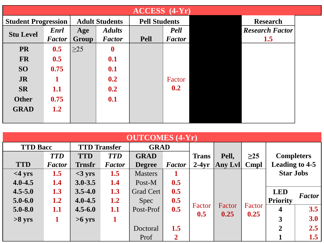|                            | <b>ACCESS</b><br>$(4-Yr)$ |                       |                                |                      |                              |  |                               |  |  |  |  |  |  |  |
|----------------------------|---------------------------|-----------------------|--------------------------------|----------------------|------------------------------|--|-------------------------------|--|--|--|--|--|--|--|
| <b>Student Progression</b> |                           | <b>Adult Students</b> |                                | <b>Pell Students</b> |                              |  | <b>Research</b>               |  |  |  |  |  |  |  |
| <b>Stu Level</b>           | Enrl<br><b>Factor</b>     | Age<br>Group          | <b>Adults</b><br><b>Factor</b> | <b>Pell</b>          | <b>Pell</b><br><b>Factor</b> |  | <b>Research Factor</b><br>1.5 |  |  |  |  |  |  |  |
| <b>PR</b>                  | 0.5                       | $\geq$ 25             | $\boldsymbol{0}$               |                      |                              |  |                               |  |  |  |  |  |  |  |
| <b>FR</b>                  | 0.5                       |                       | 0.1                            |                      |                              |  |                               |  |  |  |  |  |  |  |
| <b>SO</b>                  | 0.75                      |                       | 0.1                            |                      |                              |  |                               |  |  |  |  |  |  |  |
| <b>JR</b>                  |                           |                       | 0.2                            |                      | Factor                       |  |                               |  |  |  |  |  |  |  |
| <b>SR</b>                  | 1.1                       |                       | 0.2                            |                      | 0.2                          |  |                               |  |  |  |  |  |  |  |
| <b>Other</b>               | 0.75                      |                       | 0.1                            |                      |                              |  |                               |  |  |  |  |  |  |  |
| <b>GRAD</b>                | 1.2                       |                       |                                |                      |                              |  |                               |  |  |  |  |  |  |  |

|                 | <b>OUTCOMES</b> (4-Yr) |                     |               |                                |     |              |         |           |                   |               |  |  |  |  |
|-----------------|------------------------|---------------------|---------------|--------------------------------|-----|--------------|---------|-----------|-------------------|---------------|--|--|--|--|
| <b>TTD Bacc</b> |                        | <b>TTD Transfer</b> |               | <b>GRAD</b>                    |     |              |         |           |                   |               |  |  |  |  |
|                 | <b>TTD</b>             | <b>TTD</b>          | <b>TTD</b>    | <b>GRAD</b>                    |     | <b>Trans</b> | Pell,   | $\geq$ 25 | <b>Completers</b> |               |  |  |  |  |
| <b>TTD</b>      | <b>Factor</b>          | <b>Trnsfr</b>       | <b>Factor</b> | <b>Factor</b><br><b>Degree</b> |     | $2-4yr$      | Any Lvl | Cmpl      | Leading to 4-5    |               |  |  |  |  |
| $<$ 4 yrs       | 1.5                    | $<$ 3 yrs           | 1.5           | <b>Masters</b>                 |     |              |         |           | <b>Star Jobs</b>  |               |  |  |  |  |
| $4.0 - 4.5$     | 1.4                    | $3.0 - 3.5$         | 1.4           | Post-M                         | 0.5 |              |         |           |                   |               |  |  |  |  |
| $4.5 - 5.0$     | 1.3                    | $3.5 - 4.0$         | 1.3           | Grad Cert                      | 0.5 |              |         |           | <b>LED</b>        | <b>Factor</b> |  |  |  |  |
| $5.0 - 6.0$     | 1.2                    | $4.0 - 4.5$         | 1.2           | <b>Spec</b>                    | 0.5 |              |         |           | <b>Priority</b>   |               |  |  |  |  |
| $5.0 - 8.0$     | 1.1                    | $4.5 - 6.0$         | 1.1           | Post-Prof                      | 0.5 | Factor       | Factor  | Factor    | 4                 | 3.5           |  |  |  |  |
| $>8$ yrs        | 1                      | $>6$ yrs            | 1             |                                |     | 0.5          | 0.25    | 0.25      | 3                 | 3.0           |  |  |  |  |
|                 |                        |                     |               | Doctoral                       | 1.5 |              |         |           | $\overline{2}$    | 2.5           |  |  |  |  |
|                 |                        |                     |               | Prof                           | 2   |              |         |           |                   | 1.5           |  |  |  |  |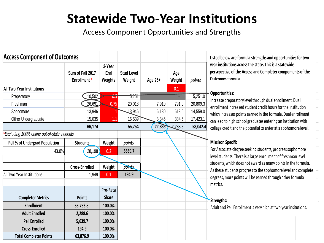### **Statewide Two-Year Institutions**

Access Component Opportunities and Strengths

| <b>Access Component of Outcomes</b>               |                                  |                           |                             |         |               |          |
|---------------------------------------------------|----------------------------------|---------------------------|-----------------------------|---------|---------------|----------|
|                                                   | Sum of Fall 2017<br>Enrollment * | 2-Year<br>Enrl<br>Weights | <b>Stud Level</b><br>Weight | Age 25+ | Age<br>Weight | points   |
| <b>All Two Year Institutions</b>                  |                                  |                           |                             |         | 0.1           |          |
| Preparatory                                       | 10,502                           | 0.5                       | 5,251                       |         |               | 5,251.0  |
| Freshman                                          | 26,691                           | 0.75                      | 20,018                      | 7,910   | 791.0         | 20,809.3 |
| Sophomore                                         | 13,946                           |                           | 13,946                      | 6,130   | 613.0         | 14,559.0 |
| Other Undergraduate                               | 15,035                           | 1.1                       | 16,539                      | 8,846   | 884.6         | 17,423.1 |
|                                                   | 66,174                           |                           | 55,754                      | 22,886  | 2,288.6       | 58,042.4 |
| *Excluding 100% online out-of-state students      |                                  |                           |                             |         |               |          |
| Pell % of Undergrad Population<br><b>Students</b> |                                  | Weight                    | points                      |         |               |          |
| 43.0%                                             | 28,198                           | 0.2                       | 5639.7                      |         |               |          |
|                                                   |                                  |                           |                             |         |               |          |
|                                                   | <b>Cross-Enrolled</b>            | Weight                    | points                      |         |               |          |
| All Two Year Institutions                         | 1,949                            | 0.1                       | 194.9                       |         |               |          |
|                                                   |                                  |                           |                             |         |               |          |
|                                                   |                                  | Pro-Rata                  |                             |         |               |          |
| <b>Completer Metrics</b>                          | <b>Points</b>                    | <b>Share</b>              |                             |         |               |          |
| <b>Enrollment</b>                                 | 55,753.8                         | 100.0%                    |                             |         |               |          |
| <b>Adult Enrolled</b>                             | 2,288.6                          | 100.0%                    |                             |         |               |          |
| <b>Pell Enrolled</b>                              | 5,639.7                          | 100.0%                    |                             |         |               |          |
| <b>Cross-Enrolled</b>                             | 194.9                            | 100.0%                    |                             |         |               |          |
| <b>Total Completer Points</b>                     | 63,876.9                         | 100.0%                    |                             |         |               |          |

**Listed below are formula strengths and opportunities for two year institutions across the state. This is a statewide perscpective of the Access and Completer compoments of the Outcomes formula.** 

#### **Opportunities:**

Increase preparatory level through dual enrollment. Dual enrollment increased student credit hours for the institution which increases points earned in the formula. Dual enrollment can lead to high school graduates entering an institution with college credit and the potential to enter at a sophomore level.

#### **Missison Specific**

For Associate-degree seeking students, progress sophomore level students. There is a large enrollment of freshman level students, which does not award as many points in the formula. As these students progress to the sophomore level and complete degrees, more points will be earned through other formula metrics.

#### **Strengths:**

Adult and Pell Enrollment is very high at two year insitutions.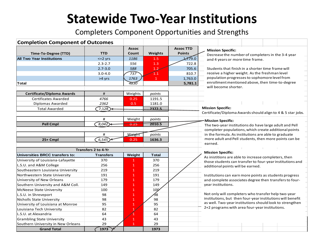## **Statewide Two-Year Institutions**

Completers Component Opportunities and Strengths

| <b>Completion Component of Outcomes</b> |                            |              |                 |                  |                                                 |                                                        |  |  |                                                             |  |  |  |
|-----------------------------------------|----------------------------|--------------|-----------------|------------------|-------------------------------------------------|--------------------------------------------------------|--|--|-------------------------------------------------------------|--|--|--|
|                                         |                            | <b>Assoc</b> |                 | <b>Assoc TTD</b> |                                                 | <b>Mission Specific:</b>                               |  |  |                                                             |  |  |  |
| Time-To-Degree (TTD)                    | <b>TTD</b>                 | Count        | Weights         | <b>Points</b>    |                                                 | Decrease the number of completers in the 3-4 year      |  |  |                                                             |  |  |  |
| <b>All Two Year Institutions</b>        | $\leq$ 2 yrs               | 1186         | 1.5             | 2,779.0          |                                                 | and 4 years or more time frame.                        |  |  |                                                             |  |  |  |
|                                         | $2.3 - 2.7$                | 556          | 1.3             | 722.8            |                                                 |                                                        |  |  |                                                             |  |  |  |
|                                         | $2.7 - 3.0$                | 588          | 1.2             | 705.6            |                                                 | Students that finish in a shorter time frame will      |  |  |                                                             |  |  |  |
|                                         | $3.0 - 4.0$                | 737          | $\widehat{1.1}$ | 810.7            |                                                 | receive a higher weight. As the freshman level         |  |  |                                                             |  |  |  |
|                                         | >4 yrs                     | 1763         | $\mathbf{1}$    | 1,763.0          | population progresses to sophomore level from   |                                                        |  |  |                                                             |  |  |  |
| Total                                   |                            | 4830         |                 | 5,781.1          | enrollment mentioned above, then time-to-degree |                                                        |  |  |                                                             |  |  |  |
|                                         |                            |              |                 |                  |                                                 | will become shorter.                                   |  |  |                                                             |  |  |  |
| <b>Certificate/Diploma Awards</b>       | #                          | Weights      | points          |                  |                                                 |                                                        |  |  |                                                             |  |  |  |
| Certificates Awarded                    | 4766                       | 0.25         | 1191.5          |                  |                                                 |                                                        |  |  |                                                             |  |  |  |
| Diplomas Awarded                        | 2362                       | 0.5          | 1181.0          |                  |                                                 |                                                        |  |  |                                                             |  |  |  |
| <b>Total Awarded</b>                    | 7,128                      |              | 2372.5          |                  | <b>Mission Specific:</b>                        |                                                        |  |  |                                                             |  |  |  |
|                                         |                            |              |                 |                  |                                                 |                                                        |  |  | Certificate/Diploma Awards should align to 4 & 5 star jobs. |  |  |  |
|                                         | #                          | Weight       | points          |                  |                                                 | Mission Specific:                                      |  |  |                                                             |  |  |  |
| <b>Pell Cmpl</b>                        | 8,042                      | 0.25         | 2010.5          |                  |                                                 | The two-year institutions do have large adult and Pell |  |  |                                                             |  |  |  |
|                                         |                            |              |                 |                  |                                                 | completer populations, which create additional points  |  |  |                                                             |  |  |  |
|                                         | #                          | Weight       | points          |                  |                                                 | in the formula. As institutions are able to graduate   |  |  |                                                             |  |  |  |
| 25+ Cmpl                                | 6,545                      | 0.25         | 1636.3          |                  |                                                 |                                                        |  |  | more adult and Pell students, then more points can be       |  |  |  |
|                                         |                            |              |                 |                  | earned.                                         |                                                        |  |  |                                                             |  |  |  |
|                                         | <b>Transfers 2 to 4-Yr</b> |              |                 |                  |                                                 |                                                        |  |  |                                                             |  |  |  |
| Universities BRCC transfers to:         | <b>Transfers</b>           | Weight       | <b>Total</b>    |                  |                                                 | <b>Mission Specific:</b>                               |  |  |                                                             |  |  |  |
| University of Louisiana-Lafayette       | 370                        | $\mathbf{1}$ | 370             |                  |                                                 | As inistitions are able to increase completers, then   |  |  | those students can transfer to four-year institutions and   |  |  |  |
| L.S.U. and A&M College                  | 256                        | 1            | 256             |                  |                                                 | additional points will be earned.                      |  |  |                                                             |  |  |  |
| Southeastern Louisiana University       | 219                        | 1            | 219             |                  |                                                 |                                                        |  |  |                                                             |  |  |  |
| Northwestern State University           | 191                        | $\mathbf{1}$ | 191             |                  |                                                 | Institutions can earn more points as students progress |  |  |                                                             |  |  |  |
| University of New Orleans               | 179                        | $\mathbf{1}$ | 179             |                  |                                                 |                                                        |  |  | and complete associates degree then transfers to four-      |  |  |  |
| Southern University and A&M Coll.       | 149                        | $\mathbf{1}$ | 149             |                  |                                                 | year institutions.                                     |  |  |                                                             |  |  |  |
| <b>McNeese State University</b>         | 100                        | $\mathbf{1}$ | 100             |                  |                                                 |                                                        |  |  |                                                             |  |  |  |
| L.S.U. in Shreveport                    | 98                         | 1            | 98              |                  |                                                 | Not only will completers who transfer help two-year    |  |  |                                                             |  |  |  |
| <b>Nicholls State University</b>        | 98                         | $\mathbf{1}$ | 98              |                  |                                                 |                                                        |  |  | institutions, but then four-year institutions will benefit  |  |  |  |
| University of Louisiana at Monroe       | 95                         | $\mathbf{1}$ | 95              |                  |                                                 |                                                        |  |  | as well. Two-year institutions should look to strengthen    |  |  |  |
| Louisiana Tech University               | 82                         | 1            | 82              |                  |                                                 | 2+2 programs with area four-year institutions.         |  |  |                                                             |  |  |  |
| L.S.U. at Alexandria                    | 64                         |              | 64              |                  |                                                 |                                                        |  |  |                                                             |  |  |  |
| <b>Grambling State University</b>       | 43                         | $\mathbf{1}$ | 43              |                  |                                                 |                                                        |  |  |                                                             |  |  |  |
| Southern University in New Orleans      | 29                         | $\mathbf{1}$ | 29              |                  |                                                 |                                                        |  |  |                                                             |  |  |  |
| <b>Grand Total</b>                      | 1973                       |              | 1973            |                  |                                                 |                                                        |  |  |                                                             |  |  |  |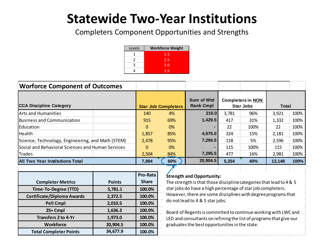## **Statewide Two-Year Institutions**

Completers Component Opportunities and Strengths

| Levels        | <b>Workforce Weight</b> |
|---------------|-------------------------|
|               | 1.5                     |
| $\mathcal{L}$ | 2.5                     |
| ٩             | 3.0                     |
|               | 3.5                     |

| <b>Worforce Component of Outcomes</b>             |               |              |                            |                                                                     |                                              |       |        |              |  |
|---------------------------------------------------|---------------|--------------|----------------------------|---------------------------------------------------------------------|----------------------------------------------|-------|--------|--------------|--|
| <b>CCA Discipline Category</b>                    |               |              | <b>Star Job Completers</b> | Sum of Wtd<br><b>Rank Cmpl</b>                                      | <b>Completers in NON</b><br><b>Star Jobs</b> |       |        | <b>Total</b> |  |
| <b>Arts and Humanities</b>                        |               | 140          | 4%                         | 210.0                                                               | 3,781                                        | 96%   | 3,921  | 100%         |  |
| <b>Business and Communication</b>                 |               | 915          | 69%                        | 1,429.5                                                             | 417                                          | 31%   | 1,332  | 100%         |  |
| Education                                         |               | $\Omega$     | 0%                         |                                                                     | 22                                           | 100%  | 22     | 100%         |  |
| Health                                            |               | 1,857        | 85%                        | 4,675.0                                                             | 324                                          | 15%   | 2,181  | 100%         |  |
| Science, Technology, Engineering, and Math (STEM) | 2,478         | 95%          | 7,294.5                    | 118                                                                 | 5%                                           | 2,596 | 100%   |              |  |
| Social and Behavioral Sciences and Human Services | 0             | 0%           |                            | 115                                                                 | 100%                                         | 115   | 100%   |              |  |
| <b>Trades</b>                                     | 2,504         | 84%          | 7,295.5                    | 477                                                                 | 16%                                          | 2,981 | 100%   |              |  |
| <b>All Two Year Institutions Total</b>            |               | 7,894        | 60%                        | 20,904.5                                                            | 5,254                                        | 40%   | 13,148 | 100%         |  |
|                                                   |               |              |                            |                                                                     |                                              |       |        |              |  |
|                                                   |               | Pro-Rata     |                            | <b>Strength and Opportunity:</b>                                    |                                              |       |        |              |  |
| <b>Completer Metrics</b>                          | <b>Points</b> | <b>Share</b> |                            | The strength is that those discipline categories that lead to 4 & 5 |                                              |       |        |              |  |
| Time-To-Degree (TTD)                              | 5,781.1       | 100.0%       |                            | star jobs do have a high percentage of star job completers.         |                                              |       |        |              |  |
| <b>Certificate/Diploma Awards</b>                 | 2,372.5       | 100.0%       |                            | However, there are some disciplines with degree programs that       |                                              |       |        |              |  |
| <b>Pell Cmpl</b>                                  | 2,010.5       | 100.0%       |                            | do not lead to 4 & 5 star jobs.                                     |                                              |       |        |              |  |
| 25+ Cmpl                                          | 1,636.3       | 100.0%       |                            | Board of Regents is committed to continue working with LWC and      |                                              |       |        |              |  |
| <b>Transfers 2 to 4-Yr</b>                        | 1,973.0       | 100.0%       |                            | LED and consultants on refining the list of programs that give our  |                                              |       |        |              |  |
| <b>Workforce</b>                                  | 20,904.5      | 100.0%       |                            | graduates the best opportunities in the state.                      |                                              |       |        |              |  |
| <b>Total Completer Points</b>                     | 34,677.9      | 100.0%       |                            |                                                                     |                                              |       |        |              |  |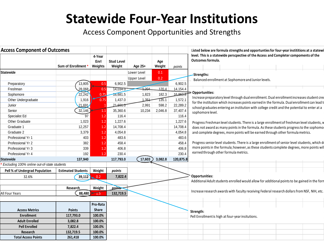### **Statewide Four-Year Institutions**

Access Component Opportunities and Strengths

| <b>Access Component of Outcomes</b>         |                           |                           |                             |                    |               |           | Listed below are formula strengths and opportunties for four-year instititions at a statewi                      |
|---------------------------------------------|---------------------------|---------------------------|-----------------------------|--------------------|---------------|-----------|------------------------------------------------------------------------------------------------------------------|
|                                             | Sum of Enrollment *       | 4-Year<br>Enrl<br>Weights | <b>Stud Level</b><br>Weight | Age 25+            | Age<br>Weight | points    | level. This is a statewide perscpective of the Access and Completer compoments of the<br>Outcomes formula.       |
| <b>Statewide</b>                            |                           |                           |                             | Lower Level        | 0.1           |           |                                                                                                                  |
|                                             |                           |                           |                             | <b>Upper Level</b> | 0.2           |           | -Strengths:                                                                                                      |
| Preparatory                                 | 13,805                    | 0.5                       | 6,902.5                     |                    |               | 6,902.5   | Balanced enrollment at Sophomore and Junior levels.                                                              |
| Freshman                                    | 28.068                    | 0.5                       | 14,034.0                    | 1,204              | 120.4         | 14,154.4  |                                                                                                                  |
| Sophomore                                   | 22,242                    | 0.75                      | 16,681.5                    | 1,823              | 182.3         | 16,863.8  | Opportunities:                                                                                                   |
| Other Undergraduate                         | 1,916                     | 0.75                      | 1,437.0                     | 1.354              | 135.1         | 1,572.1   | Increase preparatory level through dual enrollment. Dual enrollment increases student cred                       |
| Junior                                      | 21.691                    |                           | 21, <del>691.0</del>        | 2,991              | 598.2         | 22,289.2  | for the institution which increases points earned in the formula. Dual enrollment can lead to                    |
| Senior                                      | 32,146                    | 1.1                       | 35,360.6                    | 10,234             | 2,046.8       | 37,407.4  | school graduates entering an institution with college credit and the potential to enter at a<br>sophomore level. |
| Specialist Ed                               | 97                        | 1.2                       | 116.4                       |                    |               | 116.4     |                                                                                                                  |
| Other Graduate                              | 1,023                     | 1.2                       | 1,227.6                     |                    |               | 1,227.6   | Progress Freshman level students. There is a large enrollment of freshman level students, w                      |
| Graduate 1                                  | 12,257                    | 1.2                       | 14,708.4                    |                    |               | 14,708.4  | does not award as many points in the formula. As these students progress to the sophomol                         |
| Graduate 2                                  | 3,379                     | 1.2                       | 4,054.8                     |                    |               | 4,054.8   | and complete degrees, more points will be earned through other formula metrics.                                  |
| Professional Yr 1                           | 403                       | 1.2                       | 483.6                       |                    |               | 483.6     |                                                                                                                  |
| Professional Yr 2                           | 382                       | 1.2                       | 458.4                       |                    |               | 458.4     | Progress senior level students. There is a large enrollment of senior level students, which do                   |
| Professional Yr 3                           | 339                       | 1.2                       | 406.8                       |                    |               | 406.8     | more points in the formula; however, as these students complete degrees, more points will                        |
| Professional Yr 4                           | 192                       | 1.2                       | 230.4                       |                    |               | 230.4     | earned through other formula metrics.                                                                            |
| <b>Statewide</b>                            | 137,940                   |                           | 117,793.0                   | 17,603             | 3,082.8       | 120,875.8 |                                                                                                                  |
| Excluding 100% online out-of-state students |                           |                           |                             |                    |               |           |                                                                                                                  |
| Pell % of Undergrad Population              | <b>Estimated Students</b> | Weight                    | points                      |                    |               |           |                                                                                                                  |
| 32.6%                                       | 39,112                    | 0.2                       | 7,822.4                     |                    |               |           | Opportunities:                                                                                                   |
|                                             |                           |                           |                             |                    |               |           | Additional Adult students enrolled would allow for additional points to be gained in the forn                    |
|                                             | Research                  | Weight                    | points                      |                    |               |           |                                                                                                                  |
| All Four Years                              | 88,480                    | $+1.5$                    | 132,719.5                   |                    |               |           | Increase research awards with faculty receiving Federal research dollars from NSF, NIH, etc.                     |
|                                             |                           |                           |                             |                    |               |           |                                                                                                                  |
|                                             |                           | Pro-Rata                  |                             |                    |               |           |                                                                                                                  |
| <b>Access Metrics</b>                       | <b>Points</b>             | <b>Share</b>              |                             |                    |               |           | Strength:                                                                                                        |
| <b>Enrollment</b>                           | 117,793.0                 | 100.0%                    |                             |                    |               |           | Pell Enrollment is high at four-year insitutions.                                                                |
| <b>Adult Enrolled</b>                       | 3,082.8                   | 100.0%                    |                             |                    |               |           |                                                                                                                  |
| <b>Pell Enrolled</b>                        | 7,822.4                   | 100.0%                    |                             |                    |               |           |                                                                                                                  |
| Research                                    | 132,719.5                 | 100.0%                    |                             |                    |               |           |                                                                                                                  |
| <b>Total Access Points</b>                  | 261,418                   | 100.0%                    |                             |                    |               |           |                                                                                                                  |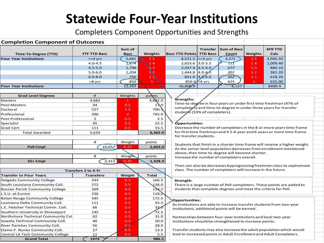### **Statewide Four-Year Institutions**

Completers Component Opportunities and Strengths

| <b>Completion Component of Outcomes</b> |                            |                |                            |                                                                                                                                                  |                 |                                                                                               |              |                |  |  |  |  |
|-----------------------------------------|----------------------------|----------------|----------------------------|--------------------------------------------------------------------------------------------------------------------------------------------------|-----------------|-----------------------------------------------------------------------------------------------|--------------|----------------|--|--|--|--|
|                                         |                            | Sum of         |                            |                                                                                                                                                  | <b>Transfer</b> | Sum of Bacc                                                                                   |              | <b>XFR TTD</b> |  |  |  |  |
| <b>Time-To-Degree (TTD)</b>             | <b>FTF TTD Bacc</b>        | <b>Bacc</b>    | Weights                    | <b>Bacc TTD Points TTD Bacc</b>                                                                                                                  |                 | Count                                                                                         | Weights      | Calc           |  |  |  |  |
| <b>Four Year Institutions</b>           | $\leq$ =4 yrs              | 5,681          | 1.5                        | 8,521.5 $\leq$ = 3 yrs                                                                                                                           |                 | 3,271                                                                                         | 1.5          | 4,906.50       |  |  |  |  |
|                                         | $4.0 - 4.5$                | 1,874          | 1.4                        | 2,623.6 3.0-3.5                                                                                                                                  |                 | 721                                                                                           | 1.4          | 1,009.40       |  |  |  |  |
|                                         | $4.5 - 5.0$                | 1,798          | $\overline{\mathbf{u}}$ .3 | $2,337.4$ 3.5-4.0                                                                                                                                |                 | 677                                                                                           | 1.3          | 880.10         |  |  |  |  |
|                                         | $5.0 - 6.0$                | 1,204          | 1 \2                       | 1,444.8 4.0-4.5                                                                                                                                  |                 | 301                                                                                           | 1.2          | 361.20         |  |  |  |  |
|                                         | $6.0 - 8.0$                | 756            | 1.1                        | 831.6                                                                                                                                            | $4,5 - 6.0$     | 562                                                                                           | 1.1          | 618.20         |  |  |  |  |
|                                         | >8 yrs                     | 850            | $\mathbf{1}$               | 850.0 S6 yrs                                                                                                                                     |                 | 625                                                                                           | $\mathbf{1}$ | 625.00         |  |  |  |  |
| <b>Four Year Institutions</b>           |                            | 12,163         |                            | 16,608.9                                                                                                                                         |                 | 6,157                                                                                         |              | 8400.4         |  |  |  |  |
|                                         |                            |                |                            |                                                                                                                                                  |                 |                                                                                               |              |                |  |  |  |  |
| <b>Grad Level Degrees</b>               | #                          | Weights        | polots                     |                                                                                                                                                  |                 |                                                                                               |              |                |  |  |  |  |
| Masters                                 | 4,682                      | $\mathbf{1}$   | 4,682.0                    | Strengths:                                                                                                                                       |                 |                                                                                               |              |                |  |  |  |  |
| Post-Masters                            | 34                         | 0.5            | 1 <b>10</b>                |                                                                                                                                                  |                 | Time-to-degree in four years or under first time freshman (47% of                             |              |                |  |  |  |  |
| Doctoral                                | 527                        | 1.5            | $790.\%$                   |                                                                                                                                                  |                 | completers) and time-to-degree in under three years for transfer                              |              |                |  |  |  |  |
| Professional                            | 396                        | $\overline{2}$ | 792.0                      | students (53% of completers).                                                                                                                    |                 |                                                                                               |              |                |  |  |  |  |
| Post-Professional                       | 5                          | 0.5            | 2.5                        |                                                                                                                                                  |                 |                                                                                               |              |                |  |  |  |  |
| Specialist                              | 45                         | 0.5            | 22.5                       | Ópportunities:                                                                                                                                   |                 |                                                                                               |              |                |  |  |  |  |
| <b>Grad Cert</b>                        | 111                        | 0.5            | 55.5                       |                                                                                                                                                  |                 | Decrease the number of completers in the 8 or more years time frame                           |              |                |  |  |  |  |
| <b>Total Awarded</b>                    | 5,639                      |                | 6,362.0                    |                                                                                                                                                  |                 | for first time freshman and 4.5-6 year and 6 years or more time frame                         |              |                |  |  |  |  |
|                                         |                            |                |                            | for transfer students.                                                                                                                           |                 |                                                                                               |              |                |  |  |  |  |
|                                         | #                          | Weight         | points                     |                                                                                                                                                  |                 |                                                                                               |              |                |  |  |  |  |
| <b>Pell Cmpl</b>                        | 10,652                     | 0.25           | 2,663.0                    | Students that finish in a shorter time frame will receive a higher weight.<br>As the senior level population decreases from enrollment mentioned |                 |                                                                                               |              |                |  |  |  |  |
|                                         |                            |                |                            |                                                                                                                                                  |                 |                                                                                               |              |                |  |  |  |  |
|                                         | #                          | Weight         | points                     |                                                                                                                                                  |                 | above, then time-to-degree will become shorter.<br>Increase the number of completers overall. |              |                |  |  |  |  |
| 25+ Cmpl                                | 5,313                      | 0.25           | 1,328.3                    |                                                                                                                                                  |                 |                                                                                               |              |                |  |  |  |  |
|                                         |                            |                |                            |                                                                                                                                                  |                 | Then can also be decreases byprogressing freshmen class to sophomore                          |              |                |  |  |  |  |
|                                         | <b>Transfers 2 to 4-Yr</b> |                |                            | class. The number of completers will increase in the future.                                                                                     |                 |                                                                                               |              |                |  |  |  |  |
| <b>Transfer to Four Years</b>           | <b>Transfers</b>           | Weight         | <b>Total</b>               |                                                                                                                                                  |                 |                                                                                               |              |                |  |  |  |  |
| Delgado Community College               | 333                        | 0.5            | 166.5                      | Strength:                                                                                                                                        |                 |                                                                                               |              |                |  |  |  |  |
| South Louisiana Community Coll.         | 272                        | 0.5            | 136.0                      |                                                                                                                                                  |                 | There is a large number of Pell completers. These points are added to                         |              |                |  |  |  |  |
| <b>Bossier Parish Community College</b> | 269                        | 0.5            | 134.5                      |                                                                                                                                                  |                 | students that complete degrees and meet the criteria for Pell.                                |              |                |  |  |  |  |
| L.S.U. at Eunice                        | 236                        | 0.5            | $118.$ $\sigma$            |                                                                                                                                                  |                 |                                                                                               |              |                |  |  |  |  |
| <b>Baton Rouge Community College</b>    | 345                        | 0.5            | 172.5                      |                                                                                                                                                  |                 |                                                                                               |              |                |  |  |  |  |
| Louisiana Delta Community Coll.         | 111                        | 0.5            | 55.5                       | <b>Opportunities:</b>                                                                                                                            |                 | As institutions are able to increase transfer students from two-year                          |              |                |  |  |  |  |
| L.E. Fletcher Technical Comm. Coll.     | 66                         | 0.5            | 33.0                       |                                                                                                                                                  |                 | institutions, additional points will be earned.                                               |              |                |  |  |  |  |
| Southern University in Shreveport       | 145                        | 0.5            | 72.5                       |                                                                                                                                                  |                 |                                                                                               |              |                |  |  |  |  |
| Northshore Technical Community Coll     | 62                         | 0.5            | 31.0                       |                                                                                                                                                  |                 | Partnerships between four-year institutions and local two-year                                |              |                |  |  |  |  |
| Sowela Technical Community Coll.        | 40                         | 0.5            | 20.0                       |                                                                                                                                                  |                 | institutions should be strengthened to increase points.                                       |              |                |  |  |  |  |
| River Parishes Community Coll.          | 56                         | 0.5            | 28.0                       |                                                                                                                                                  |                 |                                                                                               |              |                |  |  |  |  |
| Elaine P. Nunez Community Coll.         | 27                         | 0.5            | 13.5                       |                                                                                                                                                  |                 | Transfer students may also increase the adult population which would                          |              |                |  |  |  |  |
| Central LA Tech Community College       | 11                         | 0.5            | 5.5                        |                                                                                                                                                  |                 | lead to increased points in Adult Enrollment and Adult Completers.                            |              |                |  |  |  |  |
| <b>Grand Total</b>                      | 1973                       |                | 986.5                      |                                                                                                                                                  |                 |                                                                                               |              |                |  |  |  |  |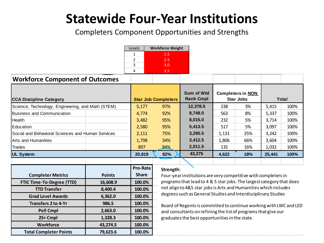## **Statewide Four-Year Institutions**

Completers Component Opportunities and Strengths

|                                                   |               | Levels       | <b>Workforce Weight</b>                                          |                                                                       |                                              |     |        |      |  |
|---------------------------------------------------|---------------|--------------|------------------------------------------------------------------|-----------------------------------------------------------------------|----------------------------------------------|-----|--------|------|--|
|                                                   |               | 1            | 1.5                                                              |                                                                       |                                              |     |        |      |  |
|                                                   |               | 2            | 2.5                                                              |                                                                       |                                              |     |        |      |  |
|                                                   |               | 3            | 3.0                                                              |                                                                       |                                              |     |        |      |  |
|                                                   |               | 4            | 3.5                                                              |                                                                       |                                              |     |        |      |  |
| <b>Workforce Component of Outcomes</b>            |               |              |                                                                  |                                                                       |                                              |     |        |      |  |
| <b>CCA Discipline Category</b>                    |               |              | <b>Star Job Completers</b>                                       | Sum of Wtd<br><b>Rank Cmpl</b>                                        | <b>Completers in NON</b><br><b>Star Jobs</b> |     | Total  |      |  |
| Science, Technology, Engineering, and Math (STEM) |               | 5,177        | 97%                                                              | 12,378.5                                                              | 238                                          | 3%  | 5,415  | 100% |  |
| <b>Business and Communication</b>                 |               | 4,774        | 92%                                                              | 8,748.0                                                               | 563                                          | 8%  | 5,337  | 100% |  |
| Health                                            |               | 3,482        | 95%                                                              | 8,015.0                                                               | 232                                          | 5%  | 3,714  | 100% |  |
| Education                                         |               | 2,580        | 95%                                                              | 5,413.5                                                               | 517                                          | 5%  | 3,097  | 100% |  |
| Social and Behavioral Sciences and Human Services |               | 2,111        | 75%                                                              | 3,295.5                                                               | 1,131                                        | 25% | 3,242  | 100% |  |
| <b>Arts and Humanities</b>                        |               | 1,798        | 34%                                                              | 3,412.5                                                               | 1,806                                        | 66% | 3,604  | 100% |  |
| Trades                                            |               | 897          | 84%                                                              | 2,011.5                                                               | 135                                          | 16% | 1,032  | 100% |  |
| <b>UL System</b>                                  |               | 20,819       | 82%                                                              | 43,275                                                                | 4,622                                        | 18% | 25,441 | 100% |  |
|                                                   |               |              |                                                                  |                                                                       |                                              |     |        |      |  |
|                                                   |               | Pro-Rata     | Strength:                                                        |                                                                       |                                              |     |        |      |  |
| <b>Completer Metrics</b>                          | <b>Points</b> | <b>Share</b> |                                                                  | Four-year institutions are very competitive with completers in        |                                              |     |        |      |  |
| <b>FTIC Time-To-Degree (TTD)</b>                  | 16,608.9      | 100.0%       |                                                                  | programs that lead to 4 & 5 star jobs. The largest category that does |                                              |     |        |      |  |
| <b>TTD Transfer</b>                               | 8,400.4       | 100.0%       | not align to 4&5 star jobs is Arts and Humanities which includes |                                                                       |                                              |     |        |      |  |
| Considered Accounts                               | $\sim$ 303.0  | 10000        | degrees such as General Studies and Interdisciplinary Studies    |                                                                       |                                              |     |        |      |  |

**Grad Level Awards 6,362.0 100.0% Transfers 2 to 4-Yr 986.5 100.0% Pell Cmpl 2,663.0 100.0% 25+ Cmpl 1,328.3 100.0% Workforce 43,274.5 100.0%**

**Total Completer Points 79,623.6 100.0%**

Board of Regents is committed to continue working with LWC and LED and consultants on refining the list of programs that give our graduates the best opportunities in the state.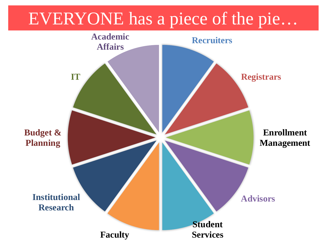